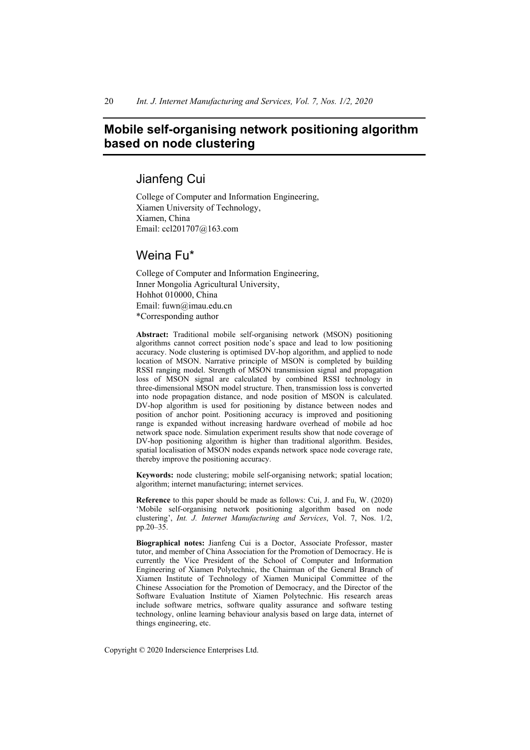## **Mobile self-organising network positioning algorithm based on node clustering**

## Jianfeng Cui

College of Computer and Information Engineering, Xiamen University of Technology, Xiamen, China Email: ccl201707@163.com

# Weina Fu\*

College of Computer and Information Engineering, Inner Mongolia Agricultural University, Hohhot 010000, China Email: fuwn@imau.edu.cn \*Corresponding author

**Abstract:** Traditional mobile self-organising network (MSON) positioning algorithms cannot correct position node's space and lead to low positioning accuracy. Node clustering is optimised DV-hop algorithm, and applied to node location of MSON. Narrative principle of MSON is completed by building RSSI ranging model. Strength of MSON transmission signal and propagation loss of MSON signal are calculated by combined RSSI technology in three-dimensional MSON model structure. Then, transmission loss is converted into node propagation distance, and node position of MSON is calculated. DV-hop algorithm is used for positioning by distance between nodes and position of anchor point. Positioning accuracy is improved and positioning range is expanded without increasing hardware overhead of mobile ad hoc network space node. Simulation experiment results show that node coverage of DV-hop positioning algorithm is higher than traditional algorithm. Besides, spatial localisation of MSON nodes expands network space node coverage rate, thereby improve the positioning accuracy.

**Keywords:** node clustering; mobile self-organising network; spatial location; algorithm; internet manufacturing; internet services.

**Reference** to this paper should be made as follows: Cui, J. and Fu, W. (2020) 'Mobile self-organising network positioning algorithm based on node clustering', *Int. J. Internet Manufacturing and Services*, Vol. 7, Nos. 1/2, pp.20–35.

**Biographical notes:** Jianfeng Cui is a Doctor, Associate Professor, master tutor, and member of China Association for the Promotion of Democracy. He is currently the Vice President of the School of Computer and Information Engineering of Xiamen Polytechnic, the Chairman of the General Branch of Xiamen Institute of Technology of Xiamen Municipal Committee of the Chinese Association for the Promotion of Democracy, and the Director of the Software Evaluation Institute of Xiamen Polytechnic. His research areas include software metrics, software quality assurance and software testing technology, online learning behaviour analysis based on large data, internet of things engineering, etc.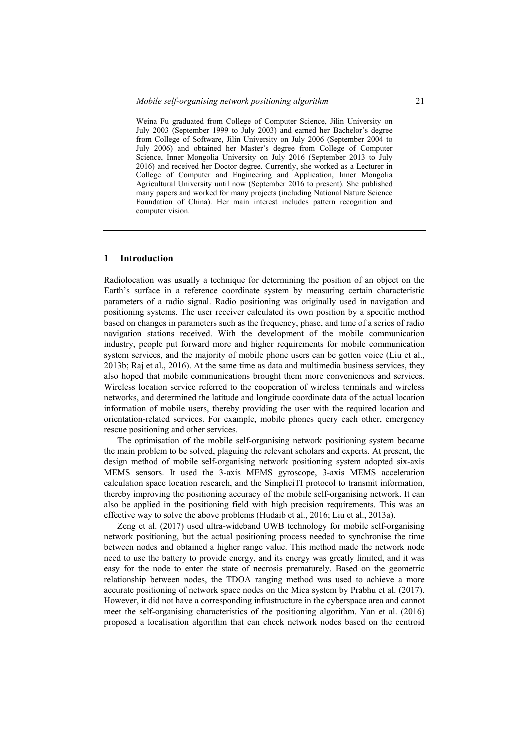Weina Fu graduated from College of Computer Science, Jilin University on July 2003 (September 1999 to July 2003) and earned her Bachelor's degree from College of Software, Jilin University on July 2006 (September 2004 to July 2006) and obtained her Master's degree from College of Computer Science, Inner Mongolia University on July 2016 (September 2013 to July 2016) and received her Doctor degree. Currently, she worked as a Lecturer in College of Computer and Engineering and Application, Inner Mongolia Agricultural University until now (September 2016 to present). She published many papers and worked for many projects (including National Nature Science Foundation of China). Her main interest includes pattern recognition and computer vision.

### **1 Introduction**

Radiolocation was usually a technique for determining the position of an object on the Earth's surface in a reference coordinate system by measuring certain characteristic parameters of a radio signal. Radio positioning was originally used in navigation and positioning systems. The user receiver calculated its own position by a specific method based on changes in parameters such as the frequency, phase, and time of a series of radio navigation stations received. With the development of the mobile communication industry, people put forward more and higher requirements for mobile communication system services, and the majority of mobile phone users can be gotten voice (Liu et al., 2013b; Raj et al., 2016). At the same time as data and multimedia business services, they also hoped that mobile communications brought them more conveniences and services. Wireless location service referred to the cooperation of wireless terminals and wireless networks, and determined the latitude and longitude coordinate data of the actual location information of mobile users, thereby providing the user with the required location and orientation-related services. For example, mobile phones query each other, emergency rescue positioning and other services.

The optimisation of the mobile self-organising network positioning system became the main problem to be solved, plaguing the relevant scholars and experts. At present, the design method of mobile self-organising network positioning system adopted six-axis MEMS sensors. It used the 3-axis MEMS gyroscope, 3-axis MEMS acceleration calculation space location research, and the SimpliciTI protocol to transmit information, thereby improving the positioning accuracy of the mobile self-organising network. It can also be applied in the positioning field with high precision requirements. This was an effective way to solve the above problems (Hudaib et al., 2016; Liu et al., 2013a).

Zeng et al. (2017) used ultra-wideband UWB technology for mobile self-organising network positioning, but the actual positioning process needed to synchronise the time between nodes and obtained a higher range value. This method made the network node need to use the battery to provide energy, and its energy was greatly limited, and it was easy for the node to enter the state of necrosis prematurely. Based on the geometric relationship between nodes, the TDOA ranging method was used to achieve a more accurate positioning of network space nodes on the Mica system by Prabhu et al. (2017). However, it did not have a corresponding infrastructure in the cyberspace area and cannot meet the self-organising characteristics of the positioning algorithm. Yan et al. (2016) proposed a localisation algorithm that can check network nodes based on the centroid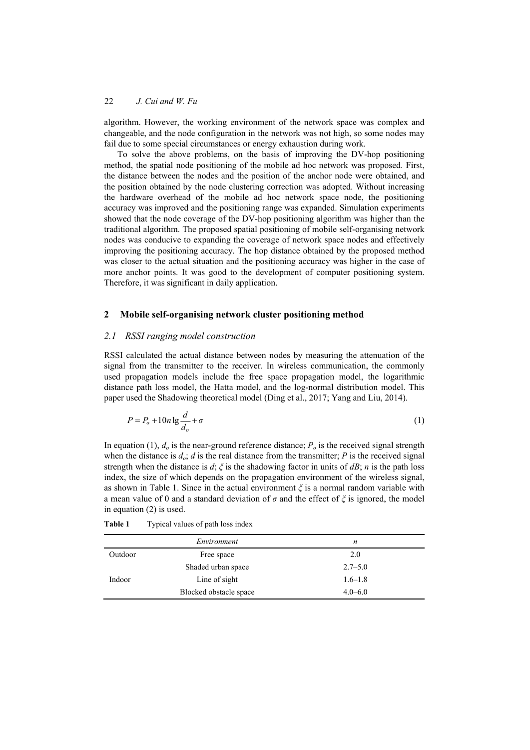algorithm. However, the working environment of the network space was complex and changeable, and the node configuration in the network was not high, so some nodes may fail due to some special circumstances or energy exhaustion during work.

To solve the above problems, on the basis of improving the DV-hop positioning method, the spatial node positioning of the mobile ad hoc network was proposed. First, the distance between the nodes and the position of the anchor node were obtained, and the position obtained by the node clustering correction was adopted. Without increasing the hardware overhead of the mobile ad hoc network space node, the positioning accuracy was improved and the positioning range was expanded. Simulation experiments showed that the node coverage of the DV-hop positioning algorithm was higher than the traditional algorithm. The proposed spatial positioning of mobile self-organising network nodes was conducive to expanding the coverage of network space nodes and effectively improving the positioning accuracy. The hop distance obtained by the proposed method was closer to the actual situation and the positioning accuracy was higher in the case of more anchor points. It was good to the development of computer positioning system. Therefore, it was significant in daily application.

## **2 Mobile self-organising network cluster positioning method**

## *2.1 RSSI ranging model construction*

RSSI calculated the actual distance between nodes by measuring the attenuation of the signal from the transmitter to the receiver. In wireless communication, the commonly used propagation models include the free space propagation model, the logarithmic distance path loss model, the Hatta model, and the log-normal distribution model. This paper used the Shadowing theoretical model (Ding et al., 2017; Yang and Liu, 2014).

$$
P = P_o + 10n \lg \frac{d}{d_o} + \sigma \tag{1}
$$

In equation (1),  $d<sub>o</sub>$  is the near-ground reference distance;  $P<sub>o</sub>$  is the received signal strength when the distance is  $d_o$ ;  $d$  is the real distance from the transmitter;  $P$  is the received signal strength when the distance is *d*; *ξ* is the shadowing factor in units of *dB*; *n* is the path loss index, the size of which depends on the propagation environment of the wireless signal, as shown in Table 1. Since in the actual environment *ξ* is a normal random variable with a mean value of 0 and a standard deviation of *σ* and the effect of *ξ* is ignored, the model in equation (2) is used.

|         | Environment            | n           |  |
|---------|------------------------|-------------|--|
| Outdoor | Free space             | 2.0         |  |
|         | Shaded urban space     | $2.7 - 5.0$ |  |
| Indoor  | Line of sight          | $1.6 - 1.8$ |  |
|         | Blocked obstacle space | $4.0 - 6.0$ |  |

**Table 1** Typical values of path loss index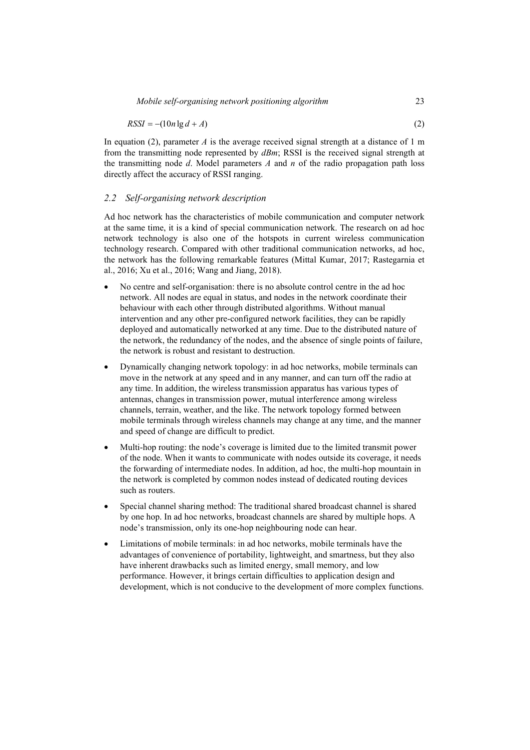$RSSI = -(10n \lg d + A)$  (2)

In equation (2), parameter *A* is the average received signal strength at a distance of 1 m from the transmitting node represented by *dBm*; RSSI is the received signal strength at the transmitting node *d*. Model parameters *A* and *n* of the radio propagation path loss directly affect the accuracy of RSSI ranging.

## *2.2 Self-organising network description*

Ad hoc network has the characteristics of mobile communication and computer network at the same time, it is a kind of special communication network. The research on ad hoc network technology is also one of the hotspots in current wireless communication technology research. Compared with other traditional communication networks, ad hoc, the network has the following remarkable features (Mittal Kumar, 2017; Rastegarnia et al., 2016; Xu et al., 2016; Wang and Jiang, 2018).

- No centre and self-organisation: there is no absolute control centre in the ad hoc network. All nodes are equal in status, and nodes in the network coordinate their behaviour with each other through distributed algorithms. Without manual intervention and any other pre-configured network facilities, they can be rapidly deployed and automatically networked at any time. Due to the distributed nature of the network, the redundancy of the nodes, and the absence of single points of failure, the network is robust and resistant to destruction.
- Dynamically changing network topology: in ad hoc networks, mobile terminals can move in the network at any speed and in any manner, and can turn off the radio at any time. In addition, the wireless transmission apparatus has various types of antennas, changes in transmission power, mutual interference among wireless channels, terrain, weather, and the like. The network topology formed between mobile terminals through wireless channels may change at any time, and the manner and speed of change are difficult to predict.
- Multi-hop routing: the node's coverage is limited due to the limited transmit power of the node. When it wants to communicate with nodes outside its coverage, it needs the forwarding of intermediate nodes. In addition, ad hoc, the multi-hop mountain in the network is completed by common nodes instead of dedicated routing devices such as routers.
- Special channel sharing method: The traditional shared broadcast channel is shared by one hop. In ad hoc networks, broadcast channels are shared by multiple hops. A node's transmission, only its one-hop neighbouring node can hear.
- Limitations of mobile terminals: in ad hoc networks, mobile terminals have the advantages of convenience of portability, lightweight, and smartness, but they also have inherent drawbacks such as limited energy, small memory, and low performance. However, it brings certain difficulties to application design and development, which is not conducive to the development of more complex functions.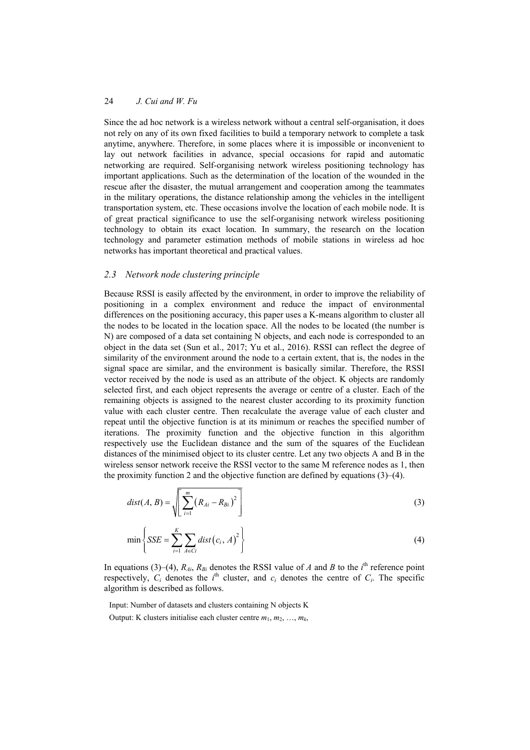Since the ad hoc network is a wireless network without a central self-organisation, it does not rely on any of its own fixed facilities to build a temporary network to complete a task anytime, anywhere. Therefore, in some places where it is impossible or inconvenient to lay out network facilities in advance, special occasions for rapid and automatic networking are required. Self-organising network wireless positioning technology has important applications. Such as the determination of the location of the wounded in the rescue after the disaster, the mutual arrangement and cooperation among the teammates in the military operations, the distance relationship among the vehicles in the intelligent transportation system, etc. These occasions involve the location of each mobile node. It is of great practical significance to use the self-organising network wireless positioning technology to obtain its exact location. In summary, the research on the location technology and parameter estimation methods of mobile stations in wireless ad hoc networks has important theoretical and practical values.

#### *2.3 Network node clustering principle*

Because RSSI is easily affected by the environment, in order to improve the reliability of positioning in a complex environment and reduce the impact of environmental differences on the positioning accuracy, this paper uses a K-means algorithm to cluster all the nodes to be located in the location space. All the nodes to be located (the number is N) are composed of a data set containing N objects, and each node is corresponded to an object in the data set (Sun et al., 2017; Yu et al., 2016). RSSI can reflect the degree of similarity of the environment around the node to a certain extent, that is, the nodes in the signal space are similar, and the environment is basically similar. Therefore, the RSSI vector received by the node is used as an attribute of the object. K objects are randomly selected first, and each object represents the average or centre of a cluster. Each of the remaining objects is assigned to the nearest cluster according to its proximity function value with each cluster centre. Then recalculate the average value of each cluster and repeat until the objective function is at its minimum or reaches the specified number of iterations. The proximity function and the objective function in this algorithm respectively use the Euclidean distance and the sum of the squares of the Euclidean distances of the minimised object to its cluster centre. Let any two objects A and B in the wireless sensor network receive the RSSI vector to the same M reference nodes as 1, then the proximity function 2 and the objective function are defined by equations (3)–(4).

$$
dist(A, B) = \sqrt{\left[\sum_{i=1}^{m} (R_{Ai} - R_{Bi})^2\right]}
$$
 (3)

$$
\min\left\{SSE = \sum_{i=1}^{K} \sum_{A \in Ci} dist(c_i, A)^2\right\}
$$
\n(4)

In equations (3)–(4),  $R_{Ai}$ ,  $R_{Bi}$  denotes the RSSI value of *A* and *B* to the *i*<sup>th</sup> reference point respectively,  $C_i$  denotes the  $i^{\text{th}}$  cluster, and  $c_i$  denotes the centre of  $C_i$ . The specific algorithm is described as follows.

Input: Number of datasets and clusters containing N objects K

Output: K clusters initialise each cluster centre  $m_1, m_2, ..., m_k$ ,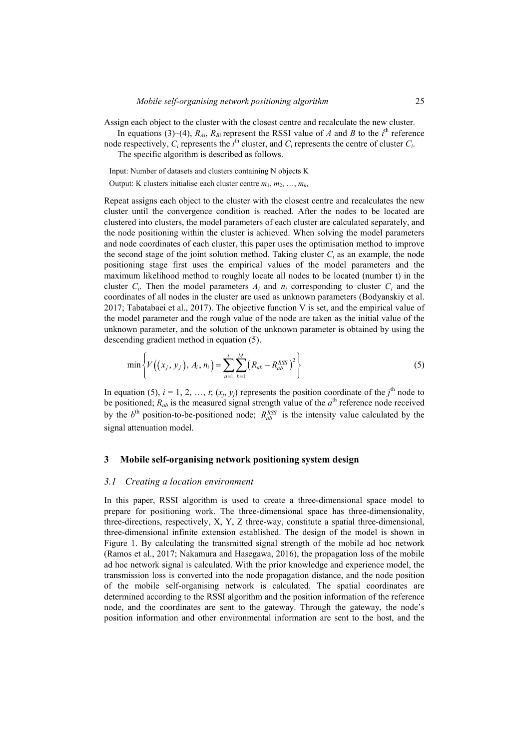Assign each object to the cluster with the closest centre and recalculate the new cluster.

In equations (3)–(4),  $R_{Ai}$ ,  $R_{Bi}$  represent the RSSI value of *A* and *B* to the *i*<sup>th</sup> reference

node respectively,  $C_i$  represents the  $i^{\text{th}}$  cluster, and  $C_i$  represents the centre of cluster  $C_i$ . The specific algorithm is described as follows.

Input: Number of datasets and clusters containing N objects K

Output: K clusters initialise each cluster centre  $m_1, m_2, ..., m_k$ ,

Repeat assigns each object to the cluster with the closest centre and recalculates the new cluster until the convergence condition is reached. After the nodes to be located are clustered into clusters, the model parameters of each cluster are calculated separately, and the node positioning within the cluster is achieved. When solving the model parameters and node coordinates of each cluster, this paper uses the optimisation method to improve the second stage of the joint solution method. Taking cluster  $C_i$  as an example, the node positioning stage first uses the empirical values of the model parameters and the maximum likelihood method to roughly locate all nodes to be located (number t) in the cluster  $C_i$ . Then the model parameters  $A_i$  and  $n_i$  corresponding to cluster  $C_i$  and the coordinates of all nodes in the cluster are used as unknown parameters (Bodyanskiy et al. 2017; Tabatabaei et al., 2017). The objective function V is set, and the empirical value of the model parameter and the rough value of the node are taken as the initial value of the unknown parameter, and the solution of the unknown parameter is obtained by using the descending gradient method in equation (5).

$$
\min\left\{V((x_j, y_j), A_i, n_i)=\sum_{a=1}^t\sum_{b=1}^M (R_{ab}-R_{ab}^{RSS})^2\right\}
$$
\n(5)

In equation (5),  $i = 1, 2, ..., t$ ;  $(x_j, y_j)$  represents the position coordinate of the  $j<sup>th</sup>$  node to be positioned;  $R_{ab}$  is the measured signal strength value of the  $a<sup>th</sup>$  reference node received by the  $b<sup>th</sup>$  position-to-be-positioned node;  $R_{ab}^{RSS}$  is the intensity value calculated by the signal attenuation model.

#### **3 Mobile self-organising network positioning system design**

#### *3.1 Creating a location environment*

In this paper, RSSI algorithm is used to create a three-dimensional space model to prepare for positioning work. The three-dimensional space has three-dimensionality, three-directions, respectively, X, Y, Z three-way, constitute a spatial three-dimensional, three-dimensional infinite extension established. The design of the model is shown in Figure 1. By calculating the transmitted signal strength of the mobile ad hoc network (Ramos et al., 2017; Nakamura and Hasegawa, 2016), the propagation loss of the mobile ad hoc network signal is calculated. With the prior knowledge and experience model, the transmission loss is converted into the node propagation distance, and the node position of the mobile self-organising network is calculated. The spatial coordinates are determined according to the RSSI algorithm and the position information of the reference node, and the coordinates are sent to the gateway. Through the gateway, the node's position information and other environmental information are sent to the host, and the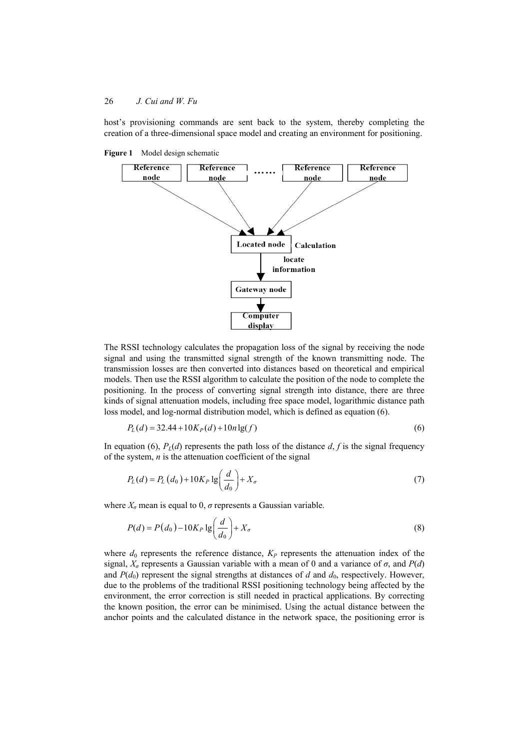host's provisioning commands are sent back to the system, thereby completing the creation of a three-dimensional space model and creating an environment for positioning.



**Figure 1** Model design schematic

The RSSI technology calculates the propagation loss of the signal by receiving the node signal and using the transmitted signal strength of the known transmitting node. The transmission losses are then converted into distances based on theoretical and empirical models. Then use the RSSI algorithm to calculate the position of the node to complete the positioning. In the process of converting signal strength into distance, there are three kinds of signal attenuation models, including free space model, logarithmic distance path loss model, and log-normal distribution model, which is defined as equation (6).

$$
P_L(d) = 32.44 + 10K_P(d) + 10n \lg(f)
$$
\n<sup>(6)</sup>

In equation (6),  $P_L(d)$  represents the path loss of the distance  $d, f$  is the signal frequency of the system, *n* is the attenuation coefficient of the signal

$$
P_L(d) = P_L(d_0) + 10K_P \lg \left(\frac{d}{d_0}\right) + X_\sigma
$$
\n(7)

where  $X_{\sigma}$  mean is equal to 0,  $\sigma$  represents a Gaussian variable.

$$
P(d) = P(d_0) - 10K_P \lg\left(\frac{d}{d_0}\right) + X_\sigma \tag{8}
$$

where  $d_0$  represents the reference distance,  $K_P$  represents the attenuation index of the signal,  $X_{\sigma}$  represents a Gaussian variable with a mean of 0 and a variance of  $\sigma$ , and  $P(d)$ and  $P(d_0)$  represent the signal strengths at distances of *d* and  $d_0$ , respectively. However, due to the problems of the traditional RSSI positioning technology being affected by the environment, the error correction is still needed in practical applications. By correcting the known position, the error can be minimised. Using the actual distance between the anchor points and the calculated distance in the network space, the positioning error is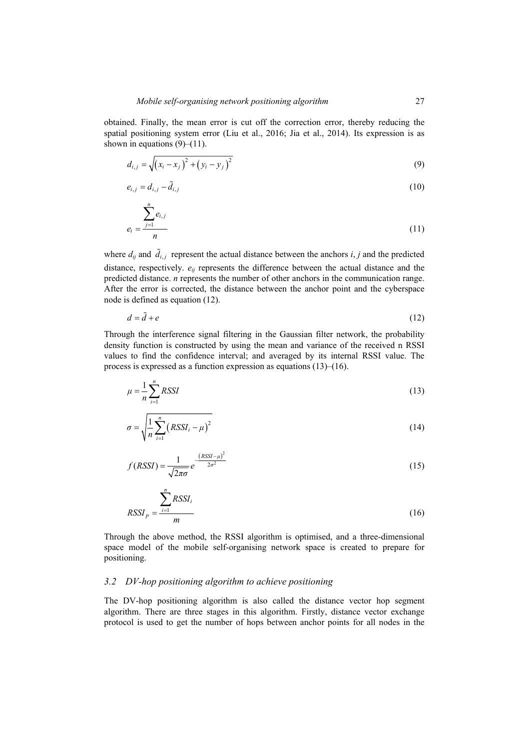obtained. Finally, the mean error is cut off the correction error, thereby reducing the spatial positioning system error (Liu et al., 2016; Jia et al., 2014). Its expression is as shown in equations  $(9)$ – $(11)$ .

$$
d_{i,j} = \sqrt{(x_i - x_j)^2 + (y_i - y_j)^2}
$$
 (9)

$$
e_{i,j} = d_{i,j} - \tilde{d}_{i,j} \tag{10}
$$

$$
e_i = \frac{\sum_{j=1}^{n} e_{i,j}}{n}
$$
 (11)

where  $d_{ij}$  and  $\tilde{d}_{i,j}$  represent the actual distance between the anchors *i*, *j* and the predicted distance, respectively. *eij* represents the difference between the actual distance and the predicted distance. *n* represents the number of other anchors in the communication range. After the error is corrected, the distance between the anchor point and the cyberspace node is defined as equation (12).

$$
d = \tilde{d} + e \tag{12}
$$

Through the interference signal filtering in the Gaussian filter network, the probability density function is constructed by using the mean and variance of the received n RSSI values to find the confidence interval; and averaged by its internal RSSI value. The process is expressed as a function expression as equations (13)–(16).

$$
\mu = \frac{1}{n} \sum_{i=1}^{n} RSSI
$$
\n(13)

$$
\sigma = \sqrt{\frac{1}{n} \sum_{i=1}^{n} (RSSI_i - \mu)^2}
$$
\n(14)

$$
f(RSSI) = \frac{1}{\sqrt{2\pi\sigma}} e^{-\frac{(RSSI - \mu)^2}{2\sigma^2}}
$$
\n(15)

$$
RSSI_p = \frac{\sum_{i=1}^{n} RSSI_i}{m}
$$
\n(16)

Through the above method, the RSSI algorithm is optimised, and a three-dimensional space model of the mobile self-organising network space is created to prepare for positioning.

#### *3.2 DV-hop positioning algorithm to achieve positioning*

The DV-hop positioning algorithm is also called the distance vector hop segment algorithm. There are three stages in this algorithm. Firstly, distance vector exchange protocol is used to get the number of hops between anchor points for all nodes in the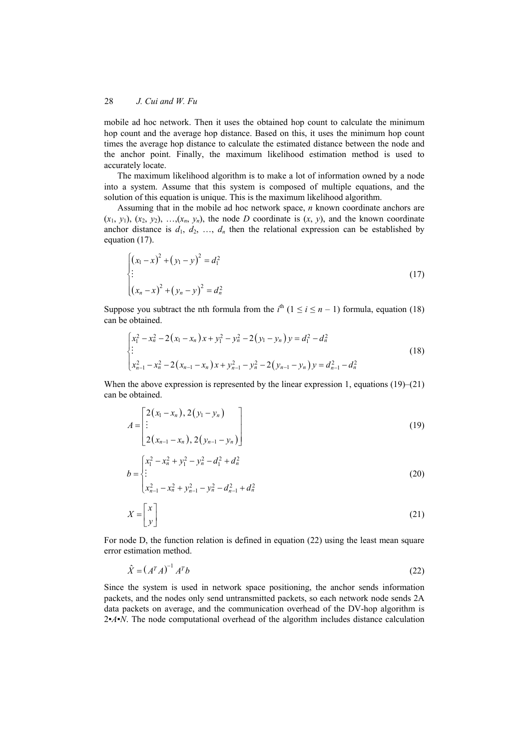mobile ad hoc network. Then it uses the obtained hop count to calculate the minimum hop count and the average hop distance. Based on this, it uses the minimum hop count times the average hop distance to calculate the estimated distance between the node and the anchor point. Finally, the maximum likelihood estimation method is used to accurately locate.

The maximum likelihood algorithm is to make a lot of information owned by a node into a system. Assume that this system is composed of multiple equations, and the solution of this equation is unique. This is the maximum likelihood algorithm.

Assuming that in the mobile ad hoc network space, *n* known coordinate anchors are  $(x_1, y_1), (x_2, y_2), \ldots, (x_n, y_n)$ , the node *D* coordinate is  $(x, y)$ , and the known coordinate anchor distance is  $d_1, d_2, ..., d_n$  then the relational expression can be established by equation (17).

$$
\begin{cases}\n(x_1 - x)^2 + (y_1 - y)^2 = d_1^2 \\
\vdots \\
(x_n - x)^2 + (y_n - y)^2 = d_n^2\n\end{cases}
$$
\n(17)

Suppose you subtract the nth formula from the  $i^{\text{th}}$  ( $1 \le i \le n - 1$ ) formula, equation (18) can be obtained.

$$
\begin{cases}\nx_1^2 - x_n^2 - 2(x_1 - x_n)x + y_1^2 - y_n^2 - 2(y_1 - y_n)y = d_1^2 - d_n^2 \\
\vdots \\
x_{n-1}^2 - x_n^2 - 2(x_{n-1} - x_n)x + y_{n-1}^2 - y_n^2 - 2(y_{n-1} - y_n)y = d_{n-1}^2 - d_n^2\n\end{cases}
$$
\n(18)

When the above expression is represented by the linear expression 1, equations  $(19)$ – $(21)$ can be obtained.

$$
A = \begin{bmatrix} 2(x_1 - x_n), 2(y_1 - y_n) \\ \vdots \\ 2(x_{n-1} - x_n), 2(y_{n-1} - y_n) \end{bmatrix}
$$
 (19)

$$
b = \begin{cases} x_1^2 - x_n^2 + y_1^2 - y_n^2 - d_1^2 + d_n^2 \\ \vdots \\ x_{n-1}^2 - x_n^2 + y_{n-1}^2 - y_n^2 - d_{n-1}^2 + d_n^2 \end{cases}
$$
(20)  

$$
X = \begin{bmatrix} x \\ y \end{bmatrix}
$$
(21)

For node D, the function relation is defined in equation (22) using the least mean square error estimation method.

$$
\hat{X} = (A^T A)^{-1} A^T b \tag{22}
$$

Since the system is used in network space positioning, the anchor sends information packets, and the nodes only send untransmitted packets, so each network node sends 2A data packets on average, and the communication overhead of the DV-hop algorithm is 2▪*A*▪*N*. The node computational overhead of the algorithm includes distance calculation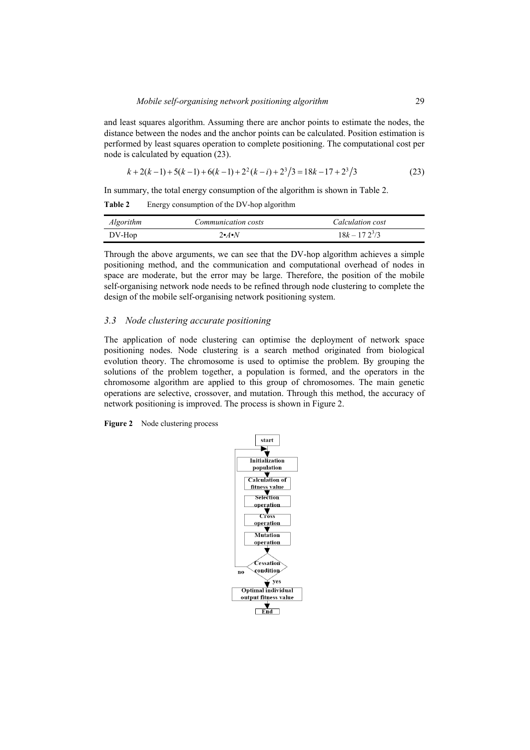and least squares algorithm. Assuming there are anchor points to estimate the nodes, the distance between the nodes and the anchor points can be calculated. Position estimation is performed by least squares operation to complete positioning. The computational cost per node is calculated by equation (23).

$$
k + 2(k - 1) + 5(k - 1) + 6(k - 1) + 22(k - i) + 23/3 = 18k - 17 + 23/3
$$
\n(23)

In summary, the total energy consumption of the algorithm is shown in Table 2.

**Table 2** Energy consumption of the DV-hop algorithm

| <i>Algorithm</i> | Communication costs | Calculation cost  |
|------------------|---------------------|-------------------|
| $DV-Hop$         | 2- <i>A</i> -N      | $18k - 172^{3}/3$ |

Through the above arguments, we can see that the DV-hop algorithm achieves a simple positioning method, and the communication and computational overhead of nodes in space are moderate, but the error may be large. Therefore, the position of the mobile self-organising network node needs to be refined through node clustering to complete the design of the mobile self-organising network positioning system.

#### *3.3 Node clustering accurate positioning*

The application of node clustering can optimise the deployment of network space positioning nodes. Node clustering is a search method originated from biological evolution theory. The chromosome is used to optimise the problem. By grouping the solutions of the problem together, a population is formed, and the operators in the chromosome algorithm are applied to this group of chromosomes. The main genetic operations are selective, crossover, and mutation. Through this method, the accuracy of network positioning is improved. The process is shown in Figure 2.

**Figure 2** Node clustering process

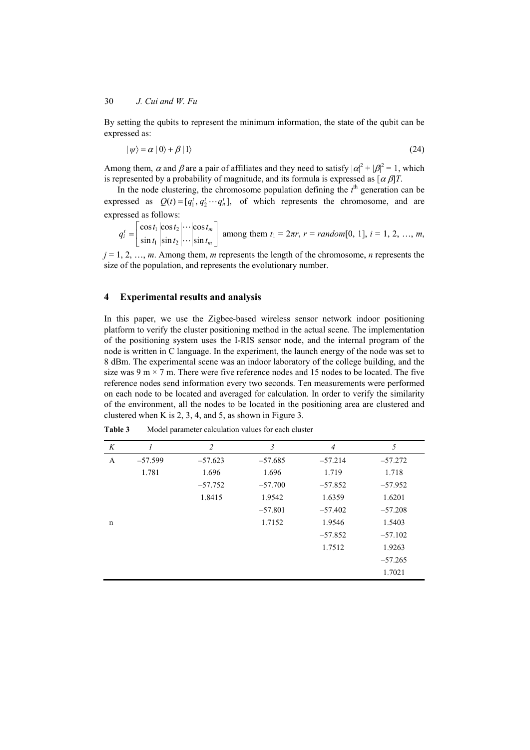By setting the qubits to represent the minimum information, the state of the qubit can be expressed as:

$$
|\psi\rangle = \alpha |0\rangle + \beta |1\rangle \tag{24}
$$

Among them,  $\alpha$  and  $\beta$  are a pair of affiliates and they need to satisfy  $|\alpha|^2 + |\beta|^2 = 1$ , which is represented by a probability of magnitude, and its formula is expressed as  $\left[\alpha \beta\right]T$ .

In the node clustering, the chromosome population defining the  $t<sup>th</sup>$  generation can be expressed as  $Q(t) = [q_1^t, q_2^t \cdots q_n^t]$ , of which represents the chromosome, and are expressed as follows:

$$
q_i^t = \begin{bmatrix} \cos t_1 \left| \cos t_2 \right| \cdots \left| \cos t_m \right| \\ \sin t_1 \left| \sin t_2 \right| \cdots \left| \sin t_m \right| \end{bmatrix}
$$
 among them  $t_1 = 2\pi r$ ,  $r = random[0, 1]$ ,  $i = 1, 2, ..., m$ ,

*j* = 1, 2, …, *m*. Among them, *m* represents the length of the chromosome, *n* represents the size of the population, and represents the evolutionary number.

### **4 Experimental results and analysis**

In this paper, we use the Zigbee-based wireless sensor network indoor positioning platform to verify the cluster positioning method in the actual scene. The implementation of the positioning system uses the I-RIS sensor node, and the internal program of the node is written in C language. In the experiment, the launch energy of the node was set to 8 dBm. The experimental scene was an indoor laboratory of the college building, and the size was 9 m  $\times$  7 m. There were five reference nodes and 15 nodes to be located. The five reference nodes send information every two seconds. Ten measurements were performed on each node to be located and averaged for calculation. In order to verify the similarity of the environment, all the nodes to be located in the positioning area are clustered and clustered when K is 2, 3, 4, and 5, as shown in Figure 3.

| K           | 1         | $\overline{2}$ | 3         | $\overline{4}$ | 5         |
|-------------|-----------|----------------|-----------|----------------|-----------|
| A           | $-57.599$ | $-57.623$      | $-57.685$ | $-57.214$      | $-57.272$ |
|             | 1.781     | 1.696          | 1.696     | 1.719          | 1.718     |
|             |           | $-57.752$      | $-57.700$ | $-57.852$      | $-57.952$ |
|             |           | 1.8415         | 1.9542    | 1.6359         | 1.6201    |
|             |           |                | $-57.801$ | $-57.402$      | $-57.208$ |
| $\mathbf n$ |           |                | 1.7152    | 1.9546         | 1.5403    |
|             |           |                |           | $-57.852$      | $-57.102$ |
|             |           |                |           | 1.7512         | 1.9263    |
|             |           |                |           |                | $-57.265$ |
|             |           |                |           |                | 1.7021    |

**Table 3** Model parameter calculation values for each cluster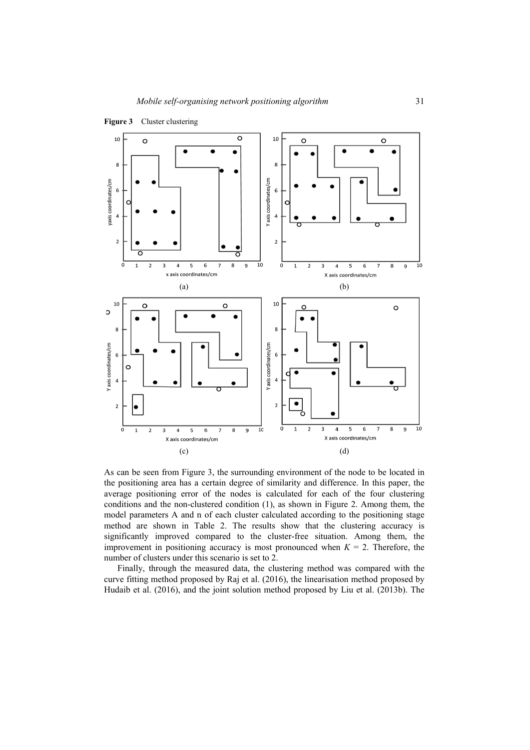

**Figure 3** Cluster clustering

As can be seen from Figure 3, the surrounding environment of the node to be located in the positioning area has a certain degree of similarity and difference. In this paper, the average positioning error of the nodes is calculated for each of the four clustering conditions and the non-clustered condition (1), as shown in Figure 2. Among them, the model parameters A and n of each cluster calculated according to the positioning stage method are shown in Table 2. The results show that the clustering accuracy is significantly improved compared to the cluster-free situation. Among them, the improvement in positioning accuracy is most pronounced when  $K = 2$ . Therefore, the number of clusters under this scenario is set to 2.

Finally, through the measured data, the clustering method was compared with the curve fitting method proposed by Raj et al. (2016), the linearisation method proposed by Hudaib et al. (2016), and the joint solution method proposed by Liu et al. (2013b). The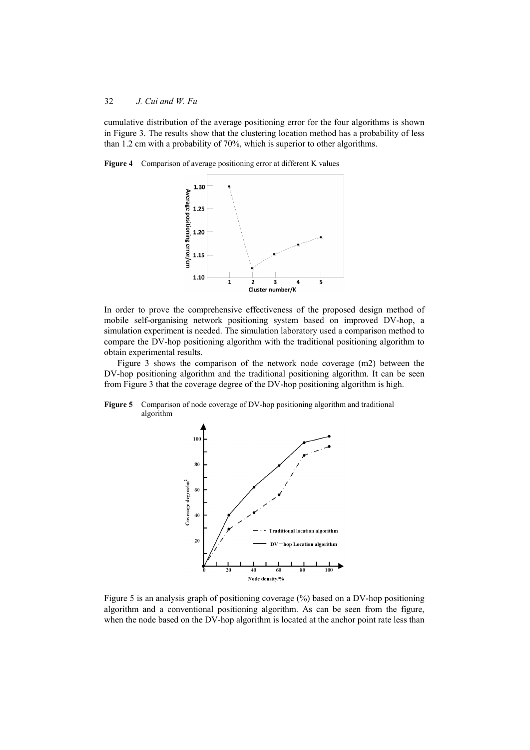cumulative distribution of the average positioning error for the four algorithms is shown in Figure 3. The results show that the clustering location method has a probability of less than 1.2 cm with a probability of 70%, which is superior to other algorithms.





In order to prove the comprehensive effectiveness of the proposed design method of mobile self-organising network positioning system based on improved DV-hop, a simulation experiment is needed. The simulation laboratory used a comparison method to compare the DV-hop positioning algorithm with the traditional positioning algorithm to obtain experimental results.

Figure 3 shows the comparison of the network node coverage (m2) between the DV-hop positioning algorithm and the traditional positioning algorithm. It can be seen from Figure 3 that the coverage degree of the DV-hop positioning algorithm is high.

**Figure 5** Comparison of node coverage of DV-hop positioning algorithm and traditional algorithm



Figure 5 is an analysis graph of positioning coverage (%) based on a DV-hop positioning algorithm and a conventional positioning algorithm. As can be seen from the figure, when the node based on the DV-hop algorithm is located at the anchor point rate less than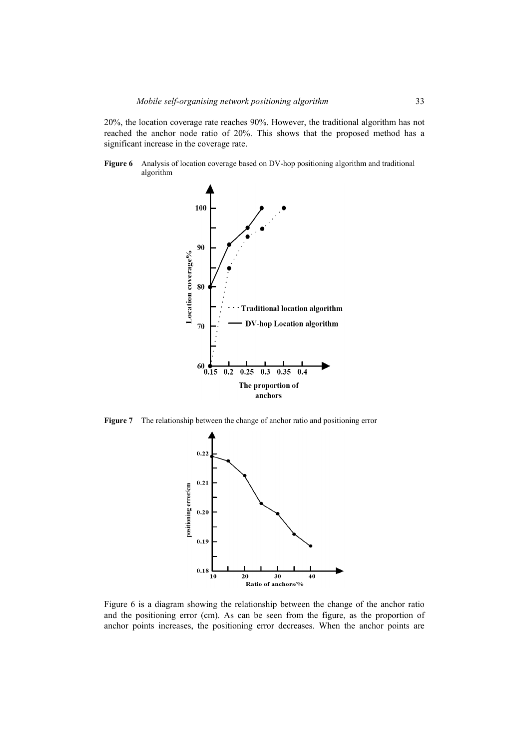20%, the location coverage rate reaches 90%. However, the traditional algorithm has not reached the anchor node ratio of 20%. This shows that the proposed method has a significant increase in the coverage rate.

**Figure 6** Analysis of location coverage based on DV-hop positioning algorithm and traditional algorithm



**Figure 7** The relationship between the change of anchor ratio and positioning error



Figure 6 is a diagram showing the relationship between the change of the anchor ratio and the positioning error (cm). As can be seen from the figure, as the proportion of anchor points increases, the positioning error decreases. When the anchor points are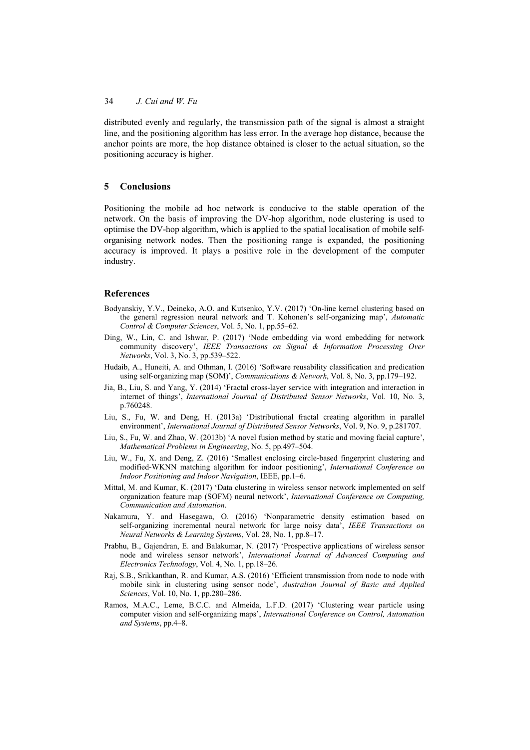distributed evenly and regularly, the transmission path of the signal is almost a straight line, and the positioning algorithm has less error. In the average hop distance, because the anchor points are more, the hop distance obtained is closer to the actual situation, so the positioning accuracy is higher.

## **5 Conclusions**

Positioning the mobile ad hoc network is conducive to the stable operation of the network. On the basis of improving the DV-hop algorithm, node clustering is used to optimise the DV-hop algorithm, which is applied to the spatial localisation of mobile selforganising network nodes. Then the positioning range is expanded, the positioning accuracy is improved. It plays a positive role in the development of the computer industry.

## **References**

- Bodyanskiy, Y.V., Deineko, A.O. and Kutsenko, Y.V. (2017) 'On-line kernel clustering based on the general regression neural network and T. Kohonen's self-organizing map', *Automatic Control & Computer Sciences*, Vol. 5, No. 1, pp.55–62.
- Ding, W., Lin, C. and Ishwar, P. (2017) 'Node embedding via word embedding for network community discovery', *IEEE Transactions on Signal & Information Processing Over Networks*, Vol. 3, No. 3, pp.539–522.
- Hudaib, A., Huneiti, A. and Othman, I. (2016) 'Software reusability classification and predication using self-organizing map (SOM)', *Communications & Network*, Vol. 8, No. 3, pp.179–192.
- Jia, B., Liu, S. and Yang, Y. (2014) 'Fractal cross-layer service with integration and interaction in internet of things', *International Journal of Distributed Sensor Networks*, Vol. 10, No. 3, p.760248.
- Liu, S., Fu, W. and Deng, H. (2013a) 'Distributional fractal creating algorithm in parallel environment', *International Journal of Distributed Sensor Networks*, Vol. 9, No. 9, p.281707.
- Liu, S., Fu, W. and Zhao, W. (2013b) 'A novel fusion method by static and moving facial capture', *Mathematical Problems in Engineering*, No. 5, pp.497–504.
- Liu, W., Fu, X. and Deng, Z. (2016) 'Smallest enclosing circle-based fingerprint clustering and modified-WKNN matching algorithm for indoor positioning', *International Conference on Indoor Positioning and Indoor Navigation*, IEEE, pp.1–6.
- Mittal, M. and Kumar, K. (2017) 'Data clustering in wireless sensor network implemented on self organization feature map (SOFM) neural network', *International Conference on Computing, Communication and Automation*.
- Nakamura, Y. and Hasegawa, O. (2016) 'Nonparametric density estimation based on self-organizing incremental neural network for large noisy data', *IEEE Transactions on Neural Networks & Learning Systems*, Vol. 28, No. 1, pp.8–17.
- Prabhu, B., Gajendran, E. and Balakumar, N. (2017) 'Prospective applications of wireless sensor node and wireless sensor network', *International Journal of Advanced Computing and Electronics Technology*, Vol. 4, No. 1, pp.18–26.
- Raj, S.B., Srikkanthan, R. and Kumar, A.S. (2016) 'Efficient transmission from node to node with mobile sink in clustering using sensor node', *Australian Journal of Basic and Applied Sciences*, Vol. 10, No. 1, pp.280–286.
- Ramos, M.A.C., Leme, B.C.C. and Almeida, L.F.D. (2017) 'Clustering wear particle using computer vision and self-organizing maps', *International Conference on Control, Automation and Systems*, pp.4–8.